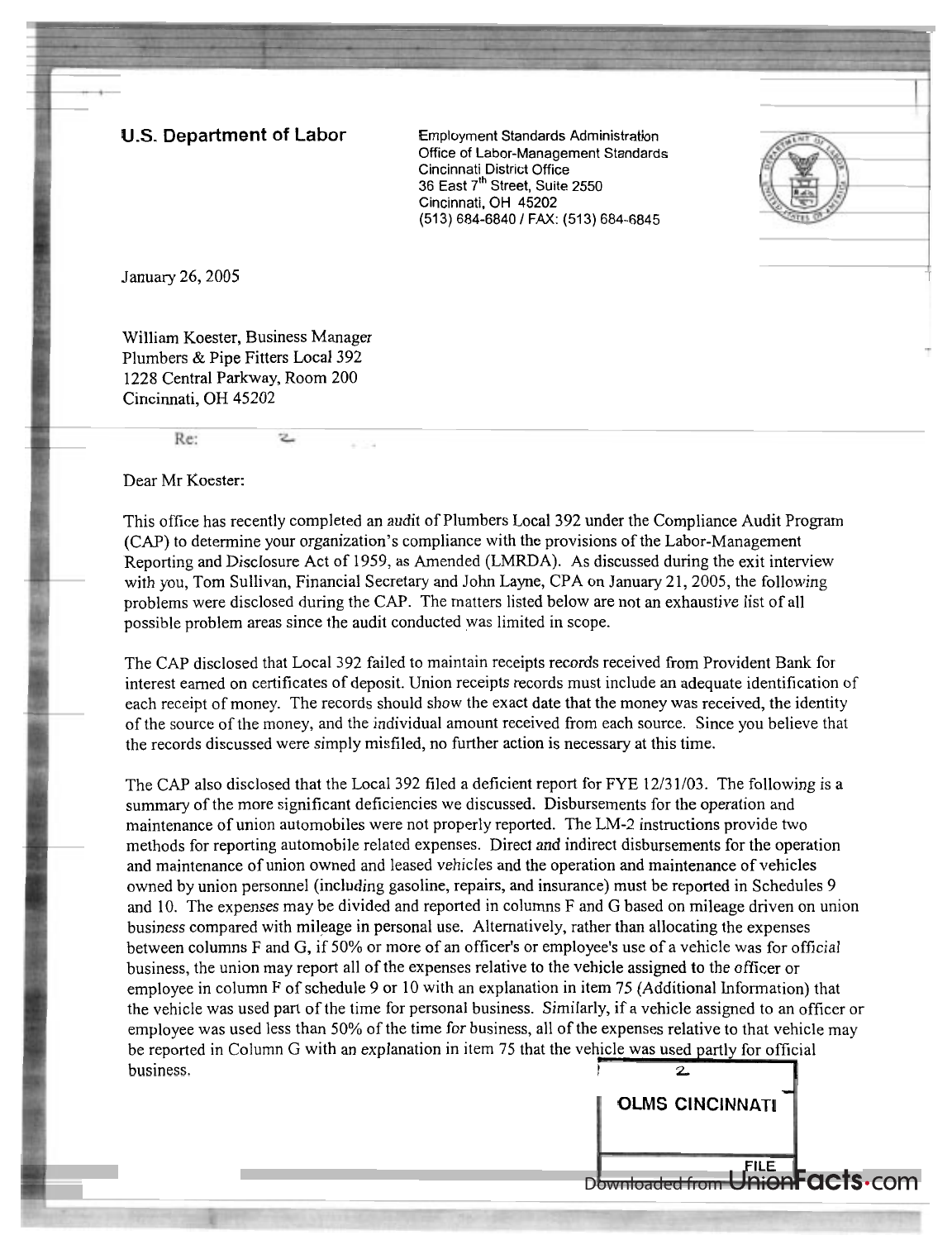## **U.S. Department of Labor** Employment Standards Administration

Office of Labor-Management Standards Cincinnati District Office 36 East 7<sup>th</sup> Street, Suite 2550 Cincinnati, OH 45202 (513) 684-6840 / FAX: (513) 684-6845



January 26,2005

William Koester, Business Manager Plumbers & Pipe Fitters Local 392 1228 Central Parkway, Room 200 Cincinnati, OH 45202

## Dear Mr Koester:

Re:

This office has recently completed an audit of Plumbers Local 392 under the Compliance Audit Program (CAP) to determine your organization's compliance with the provisions of the Labor-Management Reporting and Disclosure Act of 1959, as Amended (LMRDA). As discussed during the exit interview with you, Tom Sullivan, Financial Secretary and John Layne, CPA on January 21, 2005, the following problems were disclosed during the CAP. The matters listed below are not an exhaustive list of all possible problem areas since the audit conducted was limited in scope.

The CAP disclosed that Local 392 failed to maintain receipts records received from Provident Bank for interest earned on certificates of deposit. Union receipts records must include an adequate identification of each receipt of money. The records should show the exact date that the money was received, the identity of the source of the money, and the individual amount received from each source. Since you believe that the records discussed were simply misfiled, no further action is necessary at this time.

The CAP also disclosed that the Local 392 filed a deficient report for FYE 12/31/03. The following is a summary of the more significant deficiencies we discussed. Disbursements for the operation and maintenance of union automobiles were not properly reported. The LM-2 instructions provide two methods for reporting automobile related expenses. Direct and indirect disbursements for the operation and maintenance of union owned and leased vehicles and the operation and maintenance of vehicles owned by union personnel (including gasoline, repairs, and insurance) must be reported in Schedules 9 and 10. The expenses may be divided and reported in columns F and G based on mileage driven on union business compared with mileage in personal use. Alternatively, rather than allocating the expenses between columns F and G, if 50% or more of an officer's or employee's use of a vehicle was for official business, the union may report all of the expenses relative to the vehicle assigned to the officer or employee in column F of schedule 9 or 10 with an explanation in item 75 (Additional Information) that the vehicle was used part of the time for personal business. Similarly, if a vehicle assigned to an officer or employee was used less than 50% of the time for business, all of the expenses relative to that vehicle may be reported in Column G with an explanation in item 75 that the vehicle was used partly for official  $\frac{1}{2}$  business.

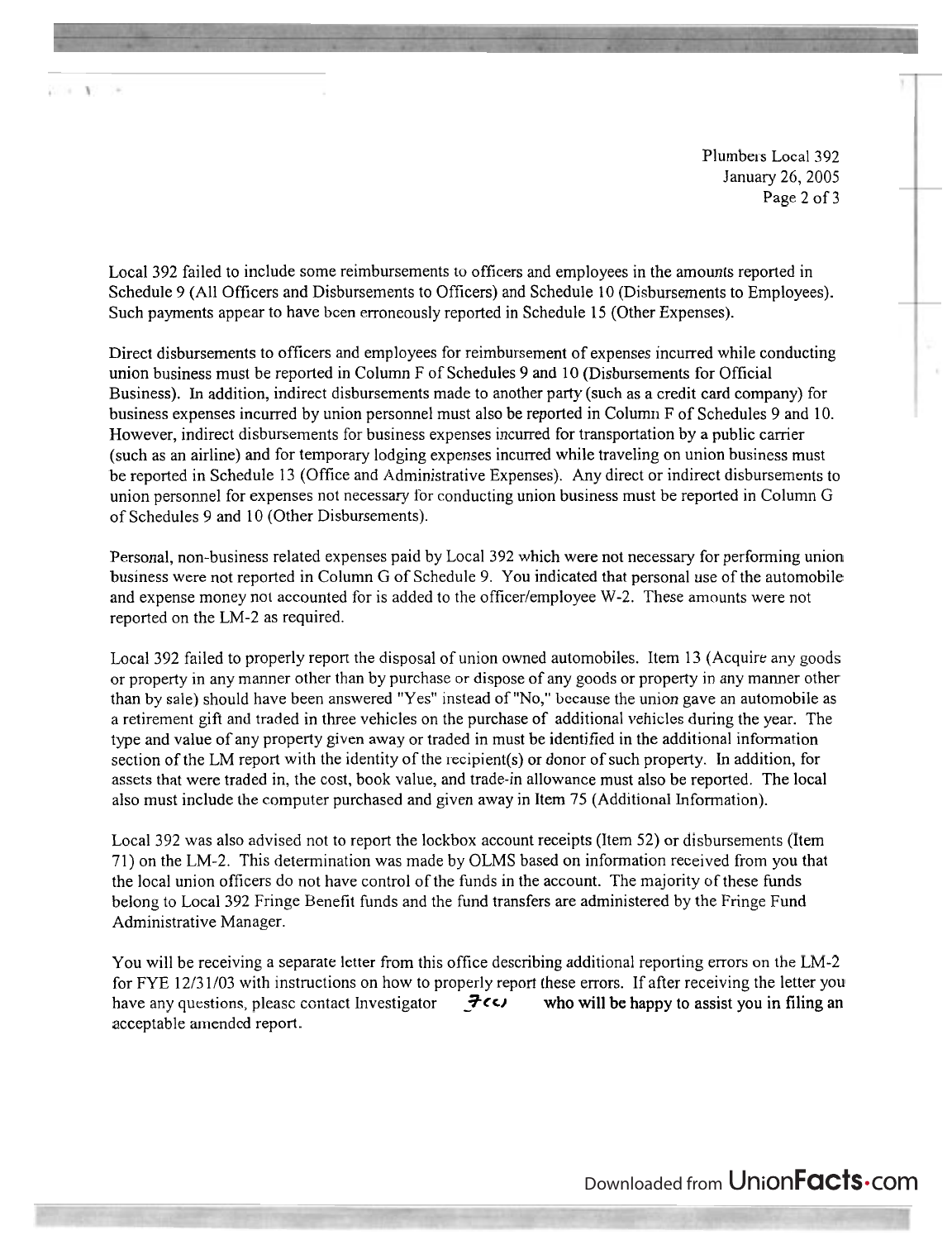Plumbers Local 392 January 26,2005 Page 2 of 3

Local 392 failed to include some reimbursements to officers and employees in the amounts reported in Schedule 9 (All Officers and Disbursements to Officers) and Schedule 10 (Disbursements to Employees). Such payments appear to have been erroneously reported in Schedule 15 (Other Expenses).

Direct disbursements to officers and employees for reimbursement of expenses incurred while conducting union business must be reported in Column F of Schedules 9 and 10 (Disbursements for Official Business). In addition, indirect disbursements made to another party (such as a credit card company) for business expenses incurred by union personnel must also be reported in Column F of Schedules 9 and 10. However, indirect disbursements for business expenses incurred for transportation by a public carrier (such as an airline) and for temporary lodging expenses incurred while traveling on union business must be reported in Schedule 13 (Office and Administrative Expenses). Any direct or indirect disbursements to union personnel for expenses not necessary for conducting union business must be reported in Column G of Schedules 9 and 10 (Other Disbursements).

Personal, non-business related expenses paid by Local 392 which were not necessary for performing union business were not reported in Column G of Schedule 9. You indicated that personal use of the automobile and expense money not accounted for is added to the officer/employee W-2. These amounts were not reported on the LM-2 as required.

Local 392 failed to properly report the disposal of union owned automobiles. Item 13 (Acquire any goods or property in any manner other than by purchase or dispose of any goods or property in any manner other than by sale) should have been answered "Yes" instead of "No," because the union gave an automobile as a retirement gift and traded in three vehicles on the purchase of additional vehicles during the year. The type and value of any property given away or traded in must be identified in the additional information section of the LM report with the identity of the recipient(s) or donor of such property. In addition, for assets that were traded in, the cost, book value, and trade-in allowance must also be reported. The local also must include the computer purchased and given away in Item 75 (Additional Information).

Local 392 was also advised not to report the lockbox account receipts (Item 52) or disbursements (Item 71) on the LM-2. This detemination was made by OLMS based on information received from you that the local union officers do not have control of the funds in the account. The majority of these funds belong to Local 392 Fringe Benefit funds and the fund transfers are administered by the Fringe Fund Administrative Manager.

You will be receiving a separate letter from this office describing additional reporting errors on the LM-2 for FYE 12/31/03 with instructions on how to properly report these errors. If after receiving the letter you have any questions, please contact Investigator  $\vec{\tau}$ **cc** who will be happy to assist you in filing an acceptable amended report.